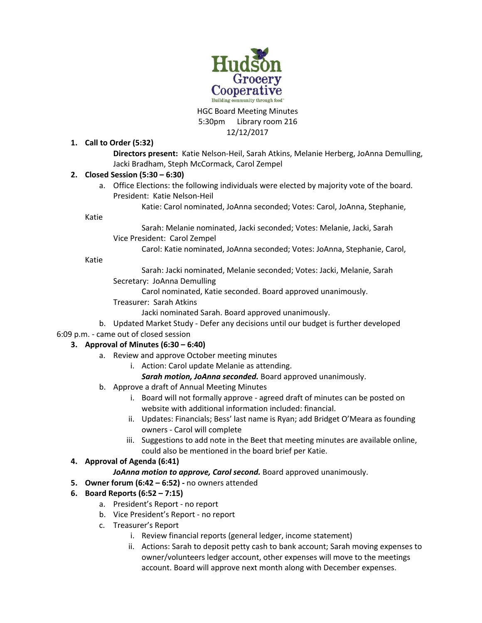

#### HGC Board Meeting Minutes 5:30pm Library room 216 12/12/2017

## **1. Call to Order (5:32)**

**Directors present:** Katie Nelson-Heil, Sarah Atkins, Melanie Herberg, JoAnna Demulling, Jacki Bradham, Steph McCormack, Carol Zempel

### **2. Closed Session (5:30 – 6:30)**

a. Office Elections: the following individuals were elected by majority vote of the board. President: Katie Nelson-Heil

Katie: Carol nominated, JoAnna seconded; Votes: Carol, JoAnna, Stephanie,

Katie

Sarah: Melanie nominated, Jacki seconded; Votes: Melanie, Jacki, Sarah Vice President: Carol Zempel

Carol: Katie nominated, JoAnna seconded; Votes: JoAnna, Stephanie, Carol,

Katie

Sarah: Jacki nominated, Melanie seconded; Votes: Jacki, Melanie, Sarah Secretary: JoAnna Demulling

Carol nominated, Katie seconded. Board approved unanimously.

Treasurer: Sarah Atkins

Jacki nominated Sarah. Board approved unanimously.

b. Updated Market Study - Defer any decisions until our budget is further developed

6:09 p.m. - came out of closed session

### **3. Approval of Minutes (6:30 – 6:40)**

- a. Review and approve October meeting minutes
	- i. Action: Carol update Melanie as attending.
		- *Sarah motion, JoAnna seconded.* Board approved unanimously.
- b. Approve a draft of Annual Meeting Minutes
	- i. Board will not formally approve agreed draft of minutes can be posted on website with additional information included: financial.
	- ii. Updates: Financials; Bess' last name is Ryan; add Bridget O'Meara as founding owners - Carol will complete
	- iii. Suggestions to add note in the Beet that meeting minutes are available online, could also be mentioned in the board brief per Katie.

### **4. Approval of Agenda (6:41)**

# *JoAnna motion to approve, Carol second.* Board approved unanimously.

- **5. Owner forum (6:42 – 6:52) -** no owners attended
- **6. Board Reports (6:52 – 7:15)**
	- a. President's Report no report
	- b. Vice President's Report no report
	- c. Treasurer's Report
		- i. Review financial reports (general ledger, income statement)
		- ii. Actions: Sarah to deposit petty cash to bank account; Sarah moving expenses to owner/volunteers ledger account, other expenses will move to the meetings account. Board will approve next month along with December expenses.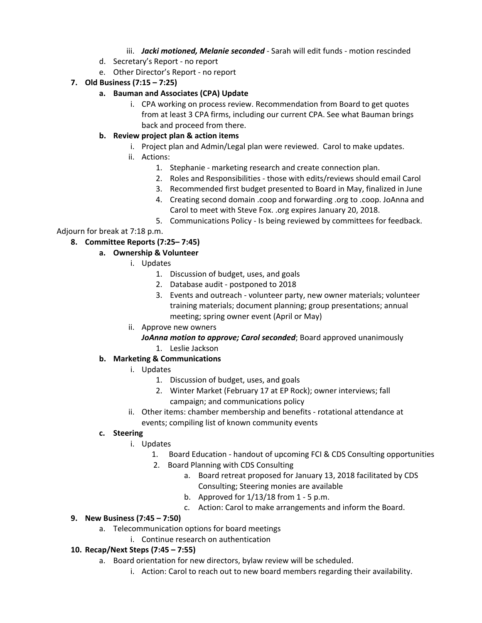## iii. *Jacki motioned, Melanie seconded* - Sarah will edit funds - motion rescinded

- d. Secretary's Report no report
- e. Other Director's Report no report

# **7. Old Business (7:15 – 7:25)**

## **a. Bauman and Associates (CPA) Update**

i. CPA working on process review. Recommendation from Board to get quotes from at least 3 CPA firms, including our current CPA. See what Bauman brings back and proceed from there.

## **b. Review project plan & action items**

- i. Project plan and Admin/Legal plan were reviewed. Carol to make updates.
- ii. Actions:
	- 1. Stephanie marketing research and create connection plan.
	- 2. Roles and Responsibilities those with edits/reviews should email Carol
	- 3. Recommended first budget presented to Board in May, finalized in June
	- 4. Creating second domain .coop and forwarding .org to .coop. JoAnna and Carol to meet with Steve Fox. .org expires January 20, 2018.
	- 5. Communications Policy Is being reviewed by committees for feedback.

# Adjourn for break at 7:18 p.m.

# **8. Committee Reports (7:25– 7:45)**

# **a. Ownership & Volunteer**

- i. Updates
	- 1. Discussion of budget, uses, and goals
	- 2. Database audit postponed to 2018
	- 3. Events and outreach volunteer party, new owner materials; volunteer training materials; document planning; group presentations; annual meeting; spring owner event (April or May)
- ii. Approve new owners

# *JoAnna motion to approve; Carol seconded*; Board approved unanimously

1. Leslie Jackson

# **b. Marketing & Communications**

- i. Updates
	- 1. Discussion of budget, uses, and goals
	- 2. Winter Market (February 17 at EP Rock); owner interviews; fall campaign; and communications policy
- ii. Other items: chamber membership and benefits rotational attendance at events; compiling list of known community events

### **c. Steering**

- i. Updates
	- 1. Board Education handout of upcoming FCI & CDS Consulting opportunities
	- 2. Board Planning with CDS Consulting
		- a. Board retreat proposed for January 13, 2018 facilitated by CDS Consulting; Steering monies are available
		- b. Approved for 1/13/18 from 1 5 p.m.
		- c. Action: Carol to make arrangements and inform the Board.

### **9. New Business (7:45 – 7:50)**

- a. Telecommunication options for board meetings
	- i. Continue research on authentication

### **10. Recap/Next Steps (7:45 – 7:55)**

- a. Board orientation for new directors, bylaw review will be scheduled.
	- i. Action: Carol to reach out to new board members regarding their availability.